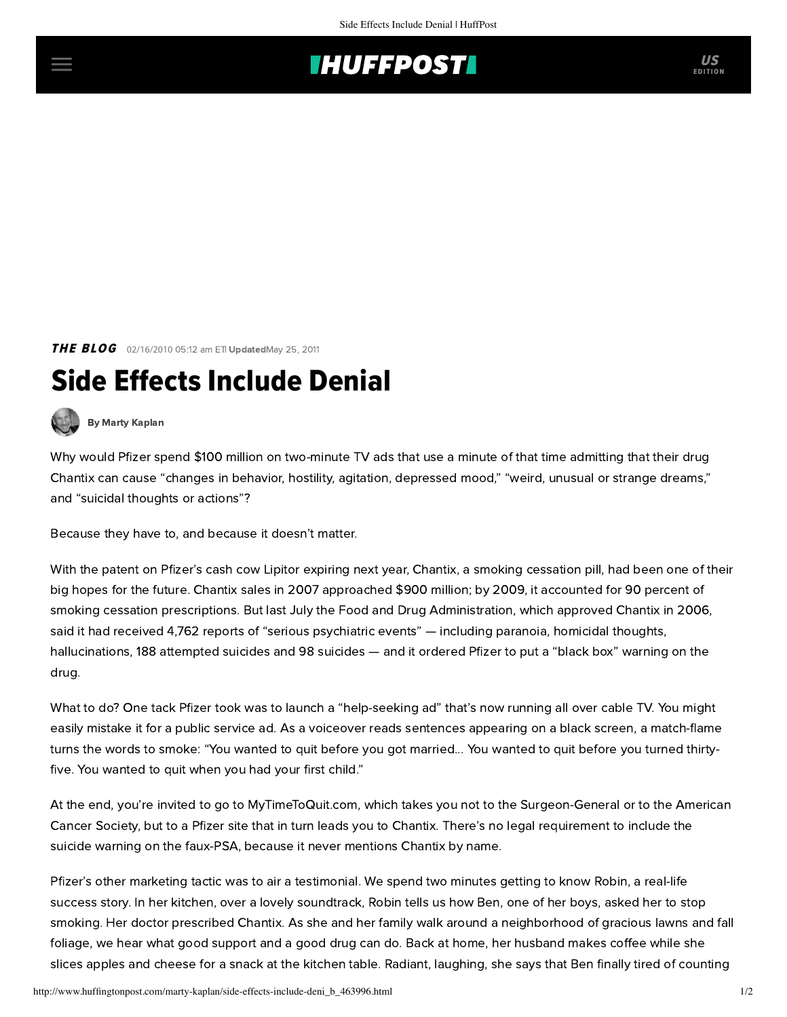## **INUFFPOSTI** US

**THE BLOG** 02/16/2010 05:12 am ETI UpdatedMay 25, 2011

## Side Effects Include Denial



[By Marty Kaplan](http://www.huffingtonpost.com/author/marty-kaplan)

Why would Pfizer spend \$100 million on two-minute TV ads that use a minute of that time admitting that their drug Chantix can cause "changes in behavior, hostility, agitation, depressed mood," "weird, unusual or strange dreams," and "suicidal thoughts or actions"?

Because they have to, and because it doesn't matter.

With the patent on Pfizer's cash cow Lipitor expiring next year, Chantix, a smoking cessation pill, had been one of their big hopes for the future. Chantix sales in 2007 approached \$900 million; by 2009, it accounted for 90 percent of smoking cessation prescriptions. But last July the Food and Drug Administration, which approved Chantix in 2006, said it had received 4,762 reports of "serious psychiatric events" — including paranoia, homicidal thoughts, hallucinations, 188 attempted suicides and 98 suicides — and it ordered Pfizer to put a "black box" warning on the drug.

What to do? One tack Pfizer took was to launch a "help-seeking ad" that's [now running](http://blogs.consumerreports.org/health/2009/02/pfizer-and-chantix-stealth-advertising-at-its-finest.html) all over cable TV. You might easily mistake it for a public service ad. As a voiceover reads sentences appearing on a black screen, a match-flame turns the words to smoke: "You wanted to quit before you got married... You wanted to quit before you turned thirtyfive. You wanted to quit when you had your first child."

At the end, you're invited to go to MyTimeToQuit.com, which takes you not to the Surgeon-General or to the American Cancer Society, but to a Pfizer site that in turn leads you to Chantix. There's no legal requirement to include the suicide warning on the faux-PSA, because it never mentions Chantix by name.

Pfizer's other marketing tactic was to air a testimonial. We spend two minutes getting to know Robin, a real-life success story. In her kitchen, over a lovely soundtrack, Robin tells us how Ben, one of her boys, asked her to stop smoking. Her doctor prescribed Chantix. As she and her family walk around a neighborhood of gracious lawns and fall foliage, we hear what good support and a good drug can do. Back at home, her husband makes coffee while she slices apples and cheese for a snack at the kitchen table. Radiant, laughing, she says that Ben finally tired of counting